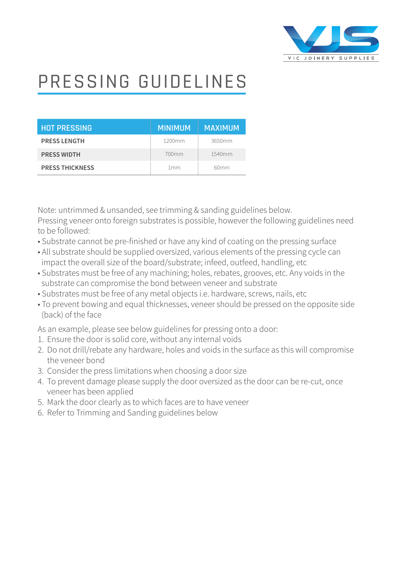

## PRESSING GUIDELINES

| <b>HOT PRESSING</b>    | <b>MINIMUM</b>  | <b>MAXIMUM</b> |
|------------------------|-----------------|----------------|
| <b>PRESS LENGTH</b>    | 1200mm          | 3650mm         |
| <b>PRESS WIDTH</b>     | 700mm           | 1540mm         |
| <b>PRESS THICKNESS</b> | 1 <sub>mm</sub> | 60mm           |

Note: untrimmed & unsanded, see trimming & sanding guidelines below. Pressing veneer onto foreign substrates is possible, however the following guidelines need to be followed:

- Substrate cannot be pre-finished or have any kind of coating on the pressing surface
- All substrate should be supplied oversized, various elements of the pressing cycle can impact the overall size of the board/substrate; infeed, outfeed, handling, etc
- Substrates must be free of any machining; holes, rebates, grooves, etc. Any voids in the substrate can compromise the bond between veneer and substrate
- Substrates must be free of any metal objects i.e. hardware, screws, nails, etc
- To prevent bowing and equal thicknesses, veneer should be pressed on the opposite side (back) of the face

As an example, please see below guidelines for pressing onto a door:

- 1. Ensure the door is solid core, without any internal voids
- 2. Do not drill/rebate any hardware, holes and voids in the surface as this will compromise the veneer bond
- 3. Consider the press limitations when choosing a door size
- 4. To prevent damage please supply the door oversized as the door can be re-cut, once veneer has been applied
- 5. Mark the door clearly as to which faces are to have veneer
- 6. Refer to Trimming and Sanding guidelines below